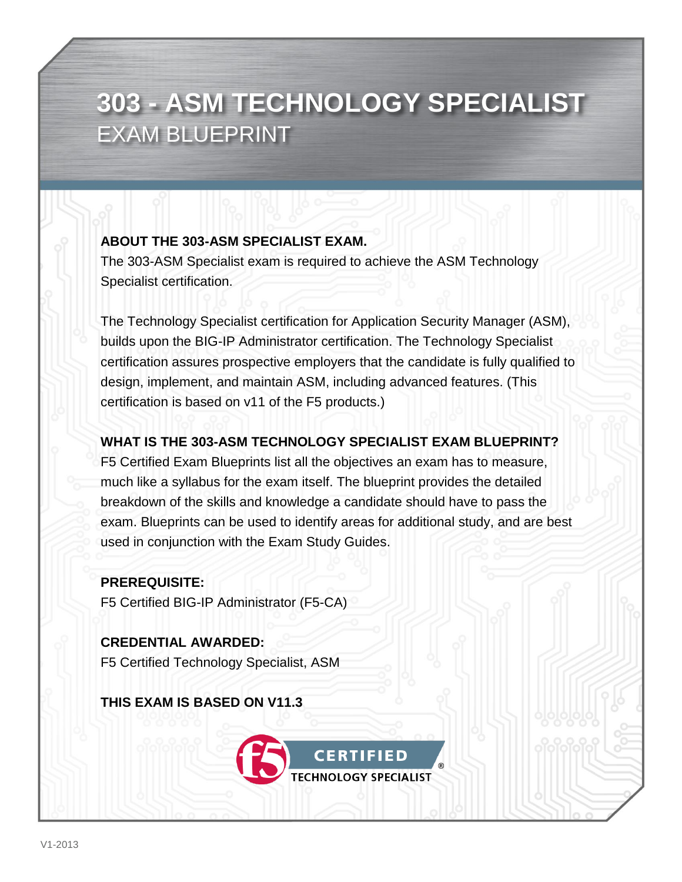## **303 - ASM TECHNOLOGY SPECIALIST**  EXAM BLUEPRINT

#### **ABOUT THE 303-ASM SPECIALIST EXAM.**

The 303-ASM Specialist exam is required to achieve the ASM Technology Specialist certification.

The Technology Specialist certification for Application Security Manager (ASM), builds upon the BIG-IP Administrator certification. The Technology Specialist certification assures prospective employers that the candidate is fully qualified to design, implement, and maintain ASM, including advanced features. (This certification is based on v11 of the F5 products.)

#### **WHAT IS THE 303-ASM TECHNOLOGY SPECIALIST EXAM BLUEPRINT?**

F5 Certified Exam Blueprints list all the objectives an exam has to measure, much like a syllabus for the exam itself. The blueprint provides the detailed breakdown of the skills and knowledge a candidate should have to pass the exam. Blueprints can be used to identify areas for additional study, and are best used in conjunction with the Exam Study Guides.

#### **PREREQUISITE:**

F5 Certified BIG-IP Administrator (F5-CA)

**CREDENTIAL AWARDED:** F5 Certified Technology Specialist, ASM

**THIS EXAM IS BASED ON V11.3**

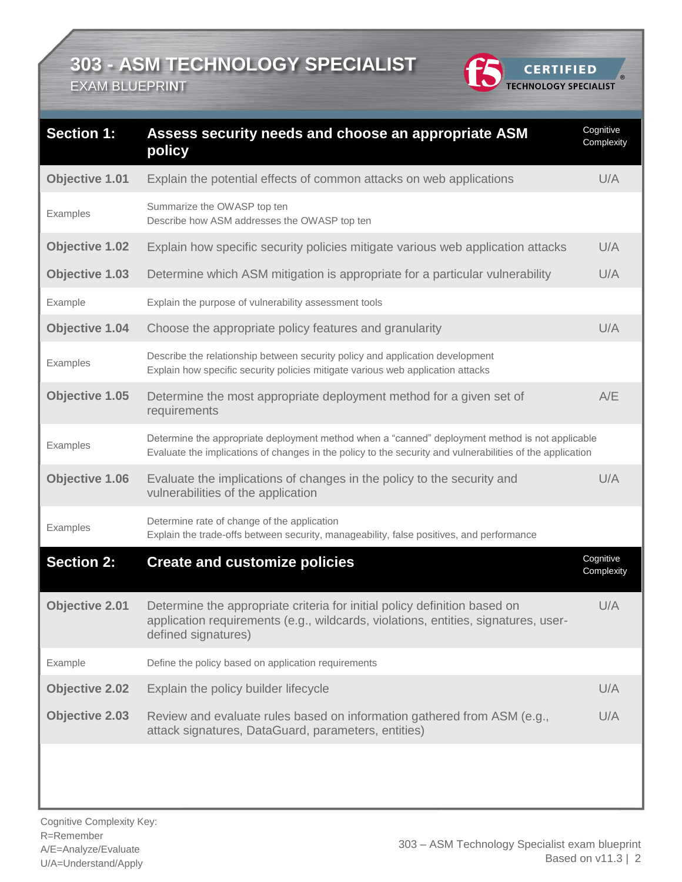EXAM BLUEPRI**N**T

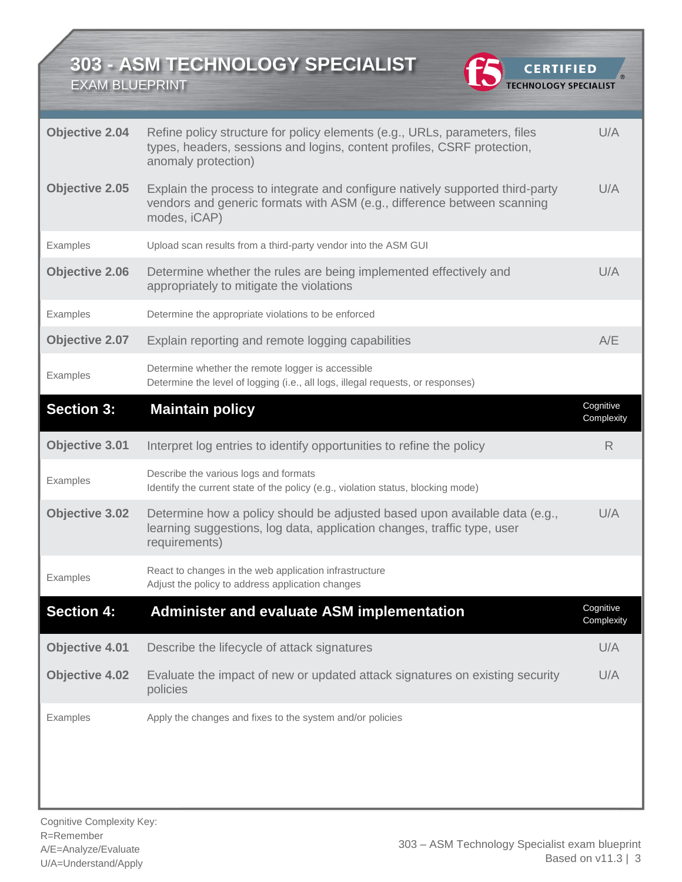EXAM BLUEPRINT



-<br>®

| <b>Objective 2.04</b> | Refine policy structure for policy elements (e.g., URLs, parameters, files<br>types, headers, sessions and logins, content profiles, CSRF protection,<br>anomaly protection) | U/A                     |
|-----------------------|------------------------------------------------------------------------------------------------------------------------------------------------------------------------------|-------------------------|
| <b>Objective 2.05</b> | Explain the process to integrate and configure natively supported third-party<br>vendors and generic formats with ASM (e.g., difference between scanning<br>modes, iCAP)     | U/A                     |
| Examples              | Upload scan results from a third-party vendor into the ASM GUI                                                                                                               |                         |
| <b>Objective 2.06</b> | Determine whether the rules are being implemented effectively and<br>appropriately to mitigate the violations                                                                | U/A                     |
| Examples              | Determine the appropriate violations to be enforced                                                                                                                          |                         |
| Objective 2.07        | Explain reporting and remote logging capabilities                                                                                                                            | A/E                     |
| Examples              | Determine whether the remote logger is accessible<br>Determine the level of logging (i.e., all logs, illegal requests, or responses)                                         |                         |
| <b>Section 3:</b>     | <b>Maintain policy</b>                                                                                                                                                       | Cognitive<br>Complexity |
| Objective 3.01        | Interpret log entries to identify opportunities to refine the policy                                                                                                         | R                       |
| Examples              | Describe the various logs and formats<br>Identify the current state of the policy (e.g., violation status, blocking mode)                                                    |                         |
| Objective 3.02        | Determine how a policy should be adjusted based upon available data (e.g.,<br>learning suggestions, log data, application changes, traffic type, user<br>requirements)       | U/A                     |
| Examples              | React to changes in the web application infrastructure<br>Adjust the policy to address application changes                                                                   |                         |
| <b>Section 4:</b>     | <b>Administer and evaluate ASM implementation</b>                                                                                                                            | Cognitive<br>Complexity |
| <b>Objective 4.01</b> | Describe the lifecycle of attack signatures                                                                                                                                  | U/A                     |
| <b>Objective 4.02</b> | Evaluate the impact of new or updated attack signatures on existing security<br>policies                                                                                     | U/A                     |
| Examples              | Apply the changes and fixes to the system and/or policies                                                                                                                    |                         |
|                       |                                                                                                                                                                              |                         |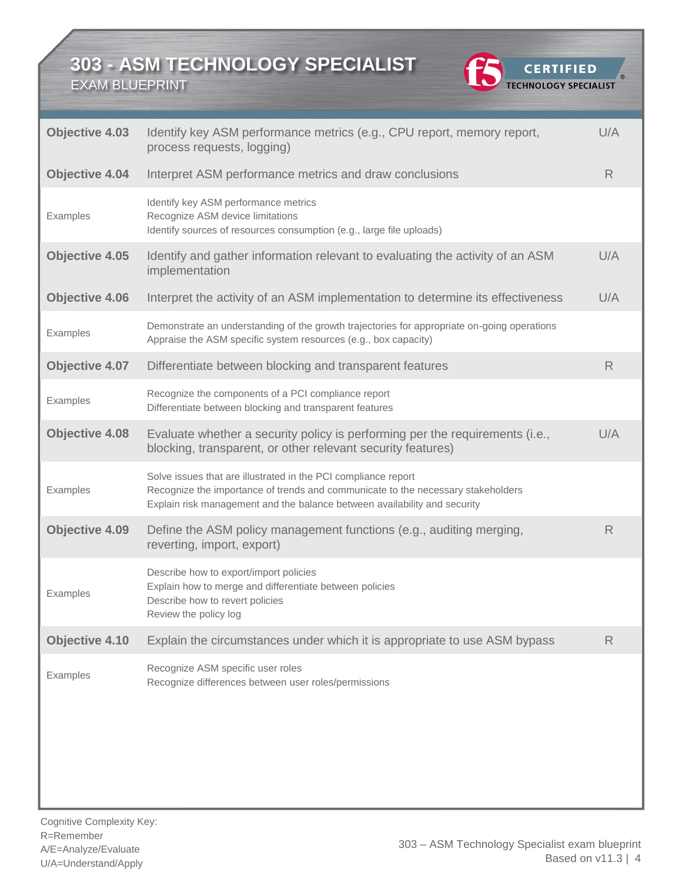EXAM BLUEPRINT